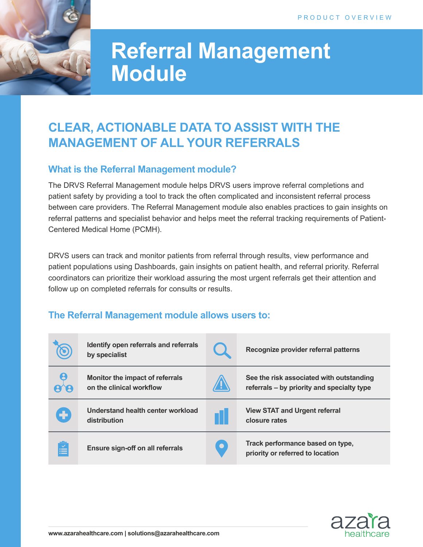

# **Referral Management Module**

# **CLEAR, ACTIONABLE DATA TO ASSIST WITH THE MANAGEMENT OF ALL YOUR REFERRALS**

### **What is the Referral Management module?**

The DRVS Referral Management module helps DRVS users improve referral completions and patient safety by providing a tool to track the often complicated and inconsistent referral process between care providers. The Referral Management module also enables practices to gain insights on referral patterns and specialist behavior and helps meet the referral tracking requirements of Patient-Centered Medical Home (PCMH).

DRVS users can track and monitor patients from referral through results, view performance and patient populations using Dashboards, gain insights on patient health, and referral priority. Referral coordinators can prioritize their workload assuring the most urgent referrals get their attention and follow up on completed referrals for consults or results.

## **The Referral Management module allows users to:**

|            | Identify open referrals and referrals<br>by specialist      |           | Recognize provider referral patterns                                                   |
|------------|-------------------------------------------------------------|-----------|----------------------------------------------------------------------------------------|
|            | Monitor the impact of referrals<br>on the clinical workflow |           | See the risk associated with outstanding<br>referrals – by priority and specialty type |
| ٠          | Understand health center workload<br>distribution           |           | <b>View STAT and Urgent referral</b><br>closure rates                                  |
| <u>iki</u> | <b>Ensure sign-off on all referrals</b>                     | $\bullet$ | Track performance based on type,<br>priority or referred to location                   |